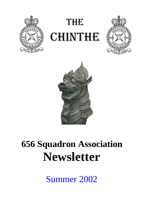

# THE **CHINTHE**





# **656 Squadron Association Newsletter**

Summer 2002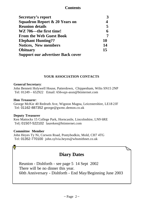#### **Contents**

| Secretary's report                       | 3  |
|------------------------------------------|----|
| Squadron Report & 20 Years on            | 4  |
| <b>Reunion details</b>                   | 5  |
| WZ 706—the first time!                   | 6  |
| <b>From the Web Guest Book</b>           |    |
| <b>Elephant Hunting??</b>                | 10 |
| <b>Notices, New members</b>              | 14 |
| <b>Obituary</b>                          | 15 |
| <b>Support our advertiser Back cover</b> |    |

#### **YOUR ASSOCIATION CONTACTS**

#### **General Secretary**:

John Bennett Holywell House, Patterdown, Chippenham, Wilts SN15 2NP Tel: 01249 – 652922 Email: 656-sqn-assn@btinternet.com

#### **Hon Treasurer**:

George McKie 40 Redruth Ave, Wigston Magna, Leicestershire, LE18 2JF Tel: 01162-887352 george@gwmc.demon.co.uk

#### **Deputy Treasurer**

Ken Mattocks 15 College Park, Horncastle, Lincolnshire, LN9 6RE Tel|: 01507-522102 laureken@btinternet.com

#### **Committee Member**

John Heyes Ty Ni, Corwen Road, Pontybodkin, Mold, CH7 4TG Tel: 01352-770100 john.sylvia.heyes@whsmithnet.co.uk

## **Diary Dates**

Reunion - Dishforth - see page 5 14 Sept 2002 There will be no dinner this year. 60th Anniversary - Dishforth - End May/Beginning June 2003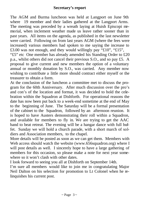The AGM and Burma luncheon was held at Langport on June 9th where 19 member and their ladies gathered at the Langport Arms. The meeting was preceded by a wreath laying at Huish Episcopi memorial, when inclement weather made us leave rather sooner than in past years. All items on the agenda, as published in the last newsletter were carried. Following on from last years AGM (where the fees were increased) various members had spoken to me saying the increase to £3.00 was not enough, and they would willingly pay "£10", "£15", "£5" etc One member has already amended his Standing Order to £20 p.a., whilst others did not cancel their previous S.O., and so pay £5. A

proposal to give current and new members the option of a voluntary annual or monthly donation by S.O., was carried. Any member now wishing to contribute a little more should contract either myself or the treasurer to obtain a form.

At the conclusion of the luncheon a committee met to discuss the program for the 60th Anniversary. After much discussion over the pro's and con's of the location and format, it was decided to hold the celebration within the Squadron at Dishforth. For operational reasons the date has now been put back to a week-end sometime at the end of May to the beginning of June. The Saturday will be a formal presentation of the cabinet to the Squadron, followed by an afternoon reunion. It is hoped to have Austers demonstrating their roll within a Squadron, and available for members to fly in. We are trying to get the AAC band to beat retreat. The evening will be a hangar dance with full buffet. Sunday we will hold a church parade, with a short march of soldiers and Association members, to the chapel.

More details will be posted as soon as we can get them. Members with Web access should watch the website (www.656squadron.org) where I will post details as well. I sincerely hope to have a large gathering of members for this occasion, so please make a note for next year somewhere so it won't clash with other dates.

I look forward to seeing you all at Dishforth on September 14th.

I'm sure all members would like to join me in congratulating Major Neil Dalton on his selection for promotion to Lt Colonel when he relinquishes his current post.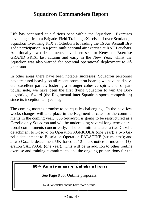# **Squadron Commanders Report**

Life has continued at a furious pace within the Squadron. Exercises have ranged from a Brigade **F**ield **T**raining e**X**ercise all over Scotland, a Squadron live-firing FTX at Otterburn to leading the 16 Air Assault Brigade participation in a joint, multinational air exercise at RAF Leuchars. Additionally, two detachments have been sent to Kenya on Exercise GRAND PRIX, last autumn and early in the New Year, whilst the Squadron was also warned for potential operational deployment to Afghanistan.

In other areas there have been notable successes; Squadron personnel have featured heavily on all recent promotion boards; we have held several excellent parties, fostering a stronger cohesive spirit; and, of particular note, we have been the first flying Squadron to win the Boroughbridge Sword (the Regimental inter-Squadron sports competition) since its inception ten years ago.

The coming months promise to be equally challenging. In the next few weeks changes will take place in the Regiment to cater for the commitments in the coming year. 656 Squadron is going to be restructured as a Gazelle only Squadron and will be undertaking several long-term operational commitments concurrently. The commitments are; a two Gazelle detachment to Kosovo on Operation AGRICOLA (one year); a two Gazelle detachment to Bosnia on Operation PALATINE (six months); and a two Gazelle detachment UK-based at 12 hours notice to move on Operation SALVAGE (one year). This will be in addition to other routine exercise and training commitments and the ongoing preparations for the

#### **6 0t h Anniversary celebrations**

See Page 9 for Outline proposals.

Next Newsletter should have more details.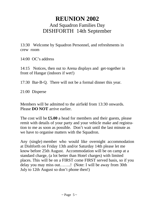# **REUNION 2002** And Squadron Families Day DISHFORTH 14th September

13:30 Welcome by Squadron Personnel, and refreshments in crew room

14:00 OC's address

14:15 Notices, then out to Arena displays and get-together in front of Hangar (indoors if wet!)

17:30 Bar-B-Q. There will not be a formal dinner this year.

21:00 Disperse

Members will be admitted to the airfield from 13:30 onwards. Please **DO NOT** arrive earlier.

The cost will be **£5.00** a head for members and their guests, please remit with details of your party and your vehicle make and registration to me as soon as possible. Don't wait until the last minute as we have to organise matters with the Squadron.

Any (single) member who would like overnight accommodation at Dishforth on Friday 13th and/or Saturday 14th please let me know before 25th August. Accommodation will be on camp at a standard charge, (a lot better than Hotel charges) with limited places. This will be on a FIRST come FIRST served basis, so if you delay you may miss out……..! (Note: I will be away from 30th July to 12th August so don't phone then!)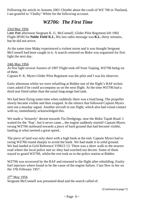Following the article in Autumn 2001 Chinthe about the crash of WZ 706 in Thailand, I am grateful to 'Chalky' White for the following account.

## *WZ706: The First Time*

#### 23rd May 1956

Late that afternoon Sergeant K. G. McConnell, Glider Pilot Regiment left 1902 Flight IPOH for **Noble Field K.L.** His last radio message was **K.L.** thirty minutes, but he did not arrive.

At the same time Malay experienced a violent storm and it was thought Sergeant McConnell bad been caught in it. A search centered on Bidor was organized for first light the next day.

#### 24th May 1956

At first light several Austers of 1907 Flight took off from Taiping, WZ706 being on of them.

Captain P. K. Myers Glider Pilot Regiment was the pilot and I was his observer.

Early afternoon whilst we were refuelling at Biddor one of the flight's RAF technicians asked if he could accompany us on the next flight. At the time WZ706 had a third seat fitted rather than the usual long-range fuel tank.

We had been flying some time when suddenly there was a loud bang. The propeller slowly became visible and then stopped. In the silence that followed Captain Myers sent out a mayday signal. Another aircraft in our flight, which also had visual contact with us, immediately acknowledged this.

We made a 'leisurely' decent towards Tin Dredgings, near the Bidor Tapah Road. I waited for the 'flop', but it never came.., the engine suddenly started! Captain Myers swung WZ706 starboard towards a piece of hard ground that had become visible, landing at what seemed a great speed..

The piece of land was only short with a high bank at the end. Captain Myers had to swing WZ706 round sharply to avoid the bank. We had made it to solid ground. We had landed at Grid Reference VJ9613 13. There was a short walk to the nearest road where the local police met us -they had watched our decent. Some of them stayed to guard WZ706, whilst the rest took us to the police station at Biddor.

WZ706 was recovered by the RAF and returned to the flight after rebuilding. Faulty fuel injectors where found to be the cause of the engine failure. I last flew in her on the 17th February 1957.

### $27<sup>th</sup>$  May 1956

Sergeant McConnell was presumed dead and the search called of.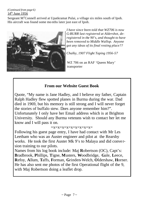*(Continued from page 6)*  $14<sup>th</sup>$  June 1956

Sergeant M<sup>c</sup>Connell arrived at Upatkramat Pulai, a village six miles south of Ipoh. His aircraft was found some mo nths later just east of Ipoh.



*I have since been told that WZ706 is now G-BURR last registered at Aldershot, deregistered in the 90's, and thought to have been removed to Middle Wallop. Anyone got any ideas of its final resting place??*

*Chalky, 1907 Flight Taping 1956-57*

WZ 706 on an RAF 'Queen Mary' transporter

## **From our Website Guest Book**

Quote, "My name is Jane Hadley, and I believe my father, Captain Ralph Hadley flew spotted planes in Burma during the war. Dad died in 1969, but his memory is still strong and I will never forget the stories of buffalo stew. Does anyone remember him?". Unfortunately I only have her Email address which is at Brighton University. Should any Burma veterans wish to contact her let me know and I will pass it on.

#### $=x=x=x=x=x=x=x=x=x=x$

Following his guest page entry, I have had contact with Mr Les Leetham who was an Auster engineer and pilot at the Rearsby works. He took the first Auster Mk 9's to Malaya and did conve rsion training to our pilots.

Names from his log book include: Maj **R**obertson (OC), Capt's: **B**radbrook, **P**hillips, **T**igne, **M**usters, **W**oodbridge, **G**ale, **L**eece, **R**efoy, **A**llum, **T**affs, **F**orman, **G**rinden-Welch, **O**ldershaw, **H**orner. He has also sent me photos of the first Operational flight of the 9, with Maj Robertson doing a leaflet drop.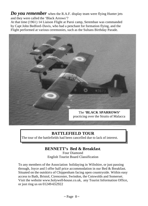*Do you remember* when the R.A.F. display team were flying Hunter jets and they were called the 'Black Arrows'?

At that time (1961) 14 Liaison Flight at Paroi camp, Seremban was commanded by Capt John Bedford-Davis, who had a penchant for formation flying, and the Flight performed at various ceremonies, such as the Sultans Birthday Parade.



## **BATTLEFIELD TOUR**

The tour of the battlefields had been cancelled due to lack of interest.

## **BENNETT's Bed & Breakfast**.

Four Diamond English Tourist Board Classification

To any members of the Association holidaying in Wiltshire, or just passing through, Joyce and I offer half price accommodation in our Bed & Breakfast. Situated on the outskirts of Chippenham facing open countryside. Within easy access to Bath, Bristol, Cirencester, Swindon, the Cotswolds and Somerset. Visit the website www.holywell-house.co.uk, any Tourist Information Office, or just ring us on 01249-652922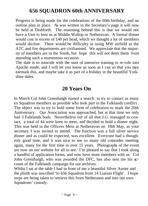# **656 SQUADRON 60th ANNIVERSARY**

Progress is being made for the celebrations of the 60th birthday, and an outline plan in place. As was written in the Secretary's page it will now be held at Dishforth. The reasoning behind this is that we would not have a Unit to host us at Middle Wallop or Netheravon. A formal dinner would cost in excess of £40 per head, which we thought a lot of members would decline. There would be difficulty in using MW airfield as the ATC and fire departments are civilianised. We appreciate that the majority of members are in the South, but hope this will not deter them from attending such a momentous occasion.

The date is to coincide with the start of intensive training to re-role into Apache mode, and I will let you know as soon as I can so that you may earmark this, and maybe take it as part of a holiday in the beautiful Yorkshire dales.

# **20 Years On**

In March Col John Greenhalgh started a search to try to contact as many ex Squadron members as possible who took part in the Falklands conflict . The object was to try to hold some form of celebration to mark the 20th Anniversary. Our Association was approached, but at that time we only had 3 Falklands bods. Nevertheless out of all that J.G. managed to contact, a total of 44 were keen to meet, and decided to hold a dinner night. This was held in the Officers Mess at Netheravon on 18th May, as your secretary I was invited to attend. The function was a full silver service dinner and as could be expected, was excellent. Everyone had a thoughroly good time, and it was nice to see so many old comrades meeting again, many for the first time in over 15 years. Photographs of the event are now on our website for all to see. I'm pleased to say that I took along a handful of application forms, and now have more members with us. Col John Greenhalgh, who was awarded the DFC, has also sent me his account of the Falklands campaign for our archives.

Whilst I sat at the table I had in front of me a beautiful Silver Auster and the plinth was inscribed 'to 656 Squadron from 14 Liaison Flight'. I hope steps are being taken to retrieve this from Netheravon and into our own Squadrons' custody.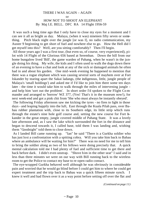#### THERE I WAS AGAIN – AGAIN or HOW NOT TO SHOOT AN ELEPHANT By Maj I.E. BELL. DFC RA 14 Flight 1956-59

 It was such a long time ago that I only have to close my eyes for a moment and I can see it all as bright as day. Malaya, (when it was) nineteen fifty seven or something. Pitch black night over the jungle [or was I], no radio communication, my Auster 9 beginning to get short of fuel and nowhere else to go. How the Hell did I get myself into this? Well, are you sitting comfortably? Then I'll begin.

 All those years ago I was a first tour, (but even so, of course, very experienced), pilot with 14 Flight of the Glorious 656 based at Seremban. Down the hill from our home bungalow lived 'Bill', the game warden of Pahang, when he wasn't in the jungle doing his thing. My wife, the kids and I often used to walk the dogs down there of an evening to have a chat and look at any of the sick or damaged animals he often had in and about his garden. One mid-week evening he happened to mention that there was a rogue elephant which was causing several sorts of mayhem over at Fort Iskander by tearing apart the Sakai ladangs, (the indigenous, little, jungle people of Malaya's 'small holdings') and asked me if I'd like to join him there some ten days later - the time it would take him to walk through the miles of intervening jungle and help him 'sort out the problem'. In short order I'd spoken to the Flight Co mmander and arranged to 'borrow' WZ 377, (Yes! That's it in the museum now!), for next week-end and got a pink chit from 'She who must always be instantly obeyed'.

 The following Friday afternoon saw me kicking the tyres - no fires to light in those days - and leaping happily into the luft, East through the Kuala Pilah pass, over Bahau rubber plantation with, close to its Southern edge, its little strip which runs through the estate's nine hole golf course and, setting the new course for Fort Iskander in the great empty, jungle covered middle of Pahang State. It was a lovely late afternoon and, as I saw the lake which surrounded the fort in the distance and began to descend towards it, I called base, told them I was landing and, wishing them "Goodnight" told them to close down.

 As I landed Bill came running up. "Ian" he said "There is a Gurkha soldier who has just lost a confrontation with a spitting cobra. Will you take him back to Bahau where an ambulance will be waiting for him?" There was no need for me to tell him to bring the soldier along as two of his fellows were doing precisely that. A quick mental calculation told me I had plenty of fuel and sufficient time to get there and back before dark. I didn't even unstrap. "Shove him in the other seat" I said and in less than three minutes we were on our way with Bill running back to the wireless room to get the Police to contact my base to re-open radio contact.

 The eye-wrapped Gurkha behaved well although he was obviously in considerable pain and worried that he would go blind before I could get him to where he could get expert treatment and the trip back to Bahau was a quick fifteen minute synch. I knew it well and had flown over it as a way point before setting off over the flat and

*(Continued on page 11)*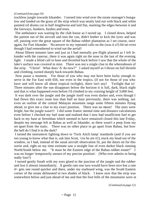#### *(Continued from page 10)*

trackless jungle towards Iskander. I turned into wind over the estate manager's bungalow and landed on the grass of the strip which was neatly laid out with black and white painted oil drums cut in half lengthwise and laid flat, marking the edges between it and the fairways, bunkers, bushes and trees.

 The ambulance was waiting by the club house as I taxied up. I closed down, helped the patient out of the aircraft and into the van, didn't bother to kick the tyres and was off, passing over the great square of the Bahau rubber plantation as I set course, once again, for Fort Iskander. No answer to my repeated calls on the (was it a?) 64 set even though I had remembered to wind out the aerial!

 About fifteen minutes later and just as I had mentally pre-flight planned as I left Iskander with the casevac, there it was again right on the nose in the last of the evening light. I made a blind call to base and throttled back before I saw that the whole of the lake's surface was covered in mist. There was not a single clue to the whereabouts of the strip. "Christ! What does 'A' do now?" I asked myself as I thrust on full throttle and climbing, turned sharply back towards Bahau.

 Now pause a moment. For those of you who may not have been lucky enough to serve in the Far East with 656, nor even in the tropics, (if not for those of you who have and will know all about tropical twilight), there isn't any! Twilight that is! Three minutes after the sun disappears below the horizon it is full, dark, black night and that is what happened even before I'd climbed to my cruising height of 3,000 feet.

 It was dark over the jungle and the jungle itself was even darker and, even though I had flown this exact route less than half an hour previously, there was nothing, not even an outline of the central Malayan mountain range some fifteen minutes flying ahead, to give me a clue to my exact position. There was no moon! The stars were bright, but the jungle wasn't! I did some frantic mental time and distance calculations even before I checked my fuel state and realised that I now had insufficient fuel to get back to my base at Seremban which seemed to have remained closed this late Friday, despite my message left at Bahau as well as Iskander, as there wasn't a peep from my set apart from the static. There was no other place to go apart from Bahau, but how the hell do I find it in the dark?

 I turned the instrument lighting down to 'Tock Aitch lamp' standards (and if you are too young to know what that is, ask Iain Scott, 'cos he are it!), stuck my head out of the window, as I had, instead of the usual aircraft observation fit, put the doors on for this sortie and, right on my time estimate saw a straight line of even darker black running North/South below me. "It must be the Eastern edge of the Bahau rubber estate!" I was no longer 'temporarily unsure of my precise position'. (Who ever admits to being really lost?)

 I turned gently South with my eyes glued to the junction of the jungle and the rubber and lost it almost immediately. A gentle rate one turn would have been nice but a rate 4+ gets one round quicker and there, under my starboard wing, was the South Eastern corner of the estate delineated in two shades of black. I knew now that the strip was somewhere below and just ahead of me and that the foot hills of the mountains were at

*(Continued on page 12)*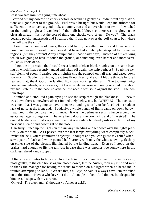#### *(Continued from page 11)*

least two safe minutes flying time ahead.

 I carried out my downwind checks before descending gently as I didn't want any distractions as I got closer to the ground. Fuel was a bit tight but would keep me airborne for sufficient time to have a good look, a dummy run and an overshoot or two. I switched on the landing light and wondered if the bulb had blown as there was no glow on the clear air ahead. It's not the sort of thing one checks very often. Do you? The black became patchy underneath and I realised that I was now over the golf course, but where the hell was the strip?

 I flew round a couple of times, they could hardly be called circuits and I realise now how much easier it would have been if I'd have had a helicopter strapped to my nether regions, (but they weren't Army equipment in those early days), instead of a fixed wing which was going to have to touch the ground, or something even harder and more vertical, at 45 knots or so.

 I got the impression that I could see a length of clear black roughly on the same bearing on which I had recently landed and taken off again; the strip perhaps? So giving myself plenty of room, I carried out a tightish circuit, pumped on half flap and eased down towards it. Suddenly a single, great tree lit up directly ahead. I hit the throttle before I realised that, thank God, the landing light was working after all. The topmost twigs brushed my wheels, or vice-versa, but I was safely airborne and really worried now about my fuel state as, in the nose up attitude, the needle was solid against the stop. The bottom stop!

 I climbed and circuited again trying to see the strip through the blackness. I knew it was down there somewhere almost immediately below me, but WHERE? The fuel state was such that I was going to have to make a landing shortly or be faced with a sudden lack of noise at the front end. Suddenly, a whole bunch of lights came on down below. I squinted in the comparative brilliance. It was the perimeter security fence around the estate manager's bungalow. The very bungalow at the downwind end of the strip!! The one I'd landed over that very evening and it was only a hundred yards or so North of my previous attemp t and now right on the nose.

 Carefully I lined up the lights on the runway's heading and let down over the lights practically on the stall. As I passed over the last lamps everything went completely black. "What the hell, you're committed anyway" I thought and you can guess my relief when I saw a pair of black and white painted half barrels, with only the white showing, flash by on either side of the aircraft illuminated by the landing light. Even so I stood on the brakes hard enough to lift the tail just in case there was another tree somewhere in the darkness ahead - and stopped!

 After a few minutes to let some blood back into my adrenalin stream, I taxied forward, most gently, to the club house again, closed down, left the Auster, took my rifle and went to thank the manager for having the 'naus' to switch on his lights when he heard me in trouble attempting to land. "What's that, Ol' Boy" he said "I always have 'em switched on at this time! Have a whiskey?" I did! A couple in fact. And dinner, but despite his kindness, I slept with my aircraft.

Oh yes! The elephant. (I thought you'd never ask!).

*(Continued on page 13)*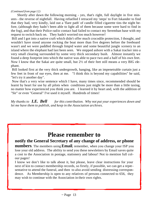#### *(Continued from page 12)*

 Shortly after dawn the following morning - yes, that's right, full daylight in five minutes - the reverse of nightfall. Having refuelled I retraced my 'steps' to Fort Iskander to find that they had, very kindly, laid out a 'flare path' of candle filled cigarette tins the night before, (although they hadn't been able to light all of them because some were hard to find in the fog), and that their Police radio contact had failed to contact my Seremban base with my request to switch back on. They hadn't worried too much however!

 Bill and I got into a native craft which didn't offer much crocodile protection, I thought, and wouldn't have stood anyone rocking the boat more than five degrees before the freeboard wasn't and we were paddled through limpid water and some beautiful jungle scenery to an island where the elephant had last been seen. We stepped ashore with a Sakai tracker into a very small clearing surrounded by some very thick secondary bush. Almost instantly we found a deep footprint into which the native was able to pace two and a half of his own feet. Now I know that the Sakai are quite small, but 2½ of their feet still means a very BIG elephant.

 Bill looked first at the very thick undergrowth, hanging, like an impenetrable curtain just a few feet in front of our eyes, then at me. "I think this is beyond my capabilities" he said, "let's try it another day".

 Now that's a very wise sentence which I have, many times since, recommended should be learnt by heart for use by all pilots when conditions just might be more than a little taxing, no matter how experienced you think you are. I learned it by heart and, with the addition of "Sir" or even "General" I've used it myself. Hundreds of times!

*My thanks to I.E. Bell for this contribution. Why not put your experiences down and let me have them to publish, and keep in the Association archives.*

# **Please remember to**

## **notify the General Secretary of any change of address, or phone**

**numbers**. The members using **Email**, remember, when you change your ISP you lose your old address. The ability to send you these newsletters by Email saves quite a cost to the Association in postage, stationery and labour! Not to mention full colour pages!

I know we don't like to talk about it, but please, leave clear instructions for your next of kin to contact membership records, so firstly, if possible, we can get a representative to attend the funeral, and then to also avoid sending distressing correspondence. As Membership is open to any relatives of persons connected to 656, they may wish to continue with the Association in their own rights.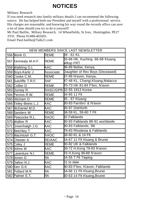# **NOTICES**

#### Military Research

If you need research into family military details I can recommend the following source. He has helped both our President and myself with a professional service. His charges are reasonable, and knowing his way round the records office can save a lot of time should you try to do it yourself!

Mr Paul Baillie, Miltary Research, 14 Wheatfields, St Ives, Huntingdon, PE27 3YD. Phone 01480-465691.

Email Paul.baillie@Talk21.com

| NEW MEMBERS SINCE LAST NEWSLETTER |                       |           |                                             |
|-----------------------------------|-----------------------|-----------|---------------------------------------------|
|                                   | 556 Monk D.           | REME      | 59 - 61 KL                                  |
|                                   | 557 Kennealy M.H.F.   | REME      | 65-66 HK, Kuching .66-68 Kluang<br>Wksp FRT |
|                                   | 558 Walkling D.L      | AAC       | 36-89 Belise, Kenya,                        |
|                                   | 559 Boys-Karle J      | Associate | Daughter of Rex Boys (Deceased)             |
|                                   | 560 Cooke C.M.        | REME      | 37-89 N'avon, Kenya,                        |
|                                   | 561 Sutcliffe T.R.F.  | RAF       | 47-48 KL, Changi, Kluang, Malacca           |
|                                   | 562 Collier D         | REME      | 70-73 HK 81-84 F'bro, N'avon                |
|                                   | 563 Durney R.         |           | RASC/GPR 52-55 1913 Korea                   |
|                                   | 564 Perrins R.W.      | REME      | $64 - 65$ 11 Fit                            |
|                                   | 565 Hitcham D         | REME      | 65 - 67 Kluang                              |
|                                   | 566 Tinley-Beets L.J. | AAC       | 30-83 Farnbro' & N'avon                     |
|                                   | 567 McDaniel M.D.     | AAC       | 95-97 Dishforth                             |
|                                   | 568 Sanders W         | REME      | 58-59 KL, 59-60 7 Flt                       |
|                                   | 569 Peacocke R.L.     | RAOC      | <b>82 Falklands</b>                         |
|                                   | 570 Walker R          | AAC       | 80-83 Falklands 88-91 worldwide             |
|                                   | 571 Greenhalgh J.G.   | AAC       | 30-83 Falklands, '86                        |
|                                   | 572 Betchley T        | AAC       | 79-83 Rhodesia & Falklands                  |
|                                   | 573 Macintosh G.T.    | RAOC      | 58-60 KL & 14 Flt                           |
|                                   | 574 Chester A         | RE/AAC    | 64-67 11 Flt Kluang & Brunei                |
|                                   | 575 Coley J           | REME      | 80-82 UK & Falklands                        |
|                                   | 576 Johns M           | AAC       | 69-72 H.Kong 79-83 N'avon                   |
|                                   | 577 Laventure N.I.    | REME      | 76 H.Kong 86-88 N'avon                      |
|                                   | 578 Jones G           | RA        | 54-55 7 Flt Taiping                         |
|                                   | 579 Dalton N.J.       | AAC       | 01 to date                                  |
|                                   | 580 Kerr G.K          | AAC       | 80-83 F'bro, N'avon, Falklands              |
|                                   | 581 Pollard M.R.      | RЯ        | 64-66 11 Flt Kluang, Brunei                 |
|                                   | 582 Palmer E.T.       | ⊰Ä        | 60-63 14 Flt Kluang, Brunei                 |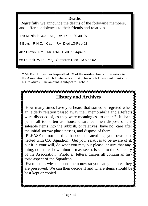## **Deaths**

 Regretfully we announce the deaths of the following members, and offer condolences to their friends and relatives.

179 McNinch J.J. Maj RA Died 30-Jul-97 4 Boys R.H.C. Capt. RA Died 13-Feb-02 407 Brown F \* Mr RAF Died 11-Apr-02 66 Duthoit W.P. Maj. Staffords Died 13-Mar-02

\* Mr Fred Brown has bequeathed 5% of the residual funds of his estate to the Association, which I believe is a 'first', for which I have sent thanks to his relatives. The amount is subject to Probate.

## **History and Archives**

How many times have you heard that someone regreted when an elderly relation passed away their memorabilia and artefacts were disposed of, as they were meaningless to others? It happens all too often as 'house clearance' men dispose of unsaleable items into the rubbish, or relatives have no care after the initial sorrow phase passes, and dispose of them.

 PLEASE do not let this happen to anything you own connected with 656 Squadron. Get your relatives to be aware of it, put it in your will, do what you may but please, ensure that anything, no matter how minor it may seem, is sent to the Secretary of the Association. Photo's, letters, diaries all contain an historic aspect of the Squadron.

 Even better, why not send them now so you can guarantee they are preserved. We can then decide if and where items should be best kept or copied

™®®®®®®®®®®®®®®®®®®®®